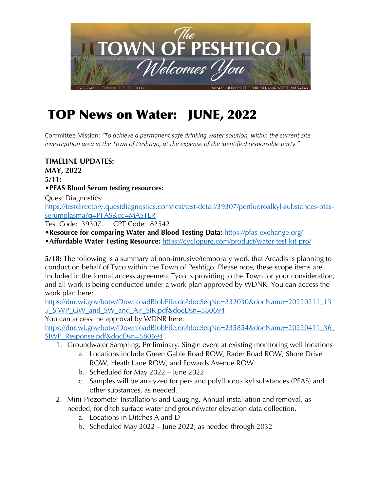

## TOP News on Water: JUNE, 2022

Committee Mission: *"To achieve a permanent safe drinking water solution, within the current site investigation area in the Town of Peshtigo, at the expense of the identified responsible party."* 

## **TIMELINE UPDATES: MAY, 2022 5/11: •PFAS Blood Serum testing resources:**

Quest Diagnostics: https://testdirectory.questdiagnostics.com/test/test-detail/39307/perfluoroalkyl-substances-pfasserumplasma?q=PFAS&cc=MASTER

Test Code: 39307. CPT Code: 82542

- **•Resource for comparing Water and Blood Testing Data:** https://pfas-exchange.org/
- •**Affordable Water Testing Resource:** https://cyclopure.com/product/water-test-kit-pro/

**5/18:** The following is a summary of non-intrusive/temporary work that Arcadis is planning to conduct on behalf of Tyco within the Town of Peshtigo. Please note, these scope items are included in the formal access agreement Tyco is providing to the Town for your consideration, and all work is being conducted under a work plan approved by WDNR. You can access the work plan here:

https://dnr.wi.gov/botw/DownloadBlobFile.do?docSeqNo=232030&docName=20220211\_13 5\_SIWP\_GW\_and\_SW\_and\_Air\_SIR.pdf&docDsn=580694

You can access the approval by WDNR here:

https://dnr.wi.gov/botw/DownloadBlobFile.do?docSeqNo=235854&docName=20220411\_36 SIWP\_Response.pdf&docDsn=580694

- 1. Groundwater Sampling, Preliminary. Single event at existing monitoring well locations
	- a. Locations include Green Gable Road ROW, Rader Road ROW, Shore Drive ROW, Heath Lane ROW, and Edwards Avenue ROW
	- b. Scheduled for May 2022 June 2022
	- c. Samples will be analyzed for per- and polyfluoroalkyl substances (PFAS) and other substances, as needed.
- 2. Mini-Piezometer Installations and Gauging. Annual installation and removal, as needed, for ditch surface water and groundwater elevation data collection.
	- a. Locations in Ditches A and D
	- b. Scheduled May 2022 June 2022; as needed through 2032